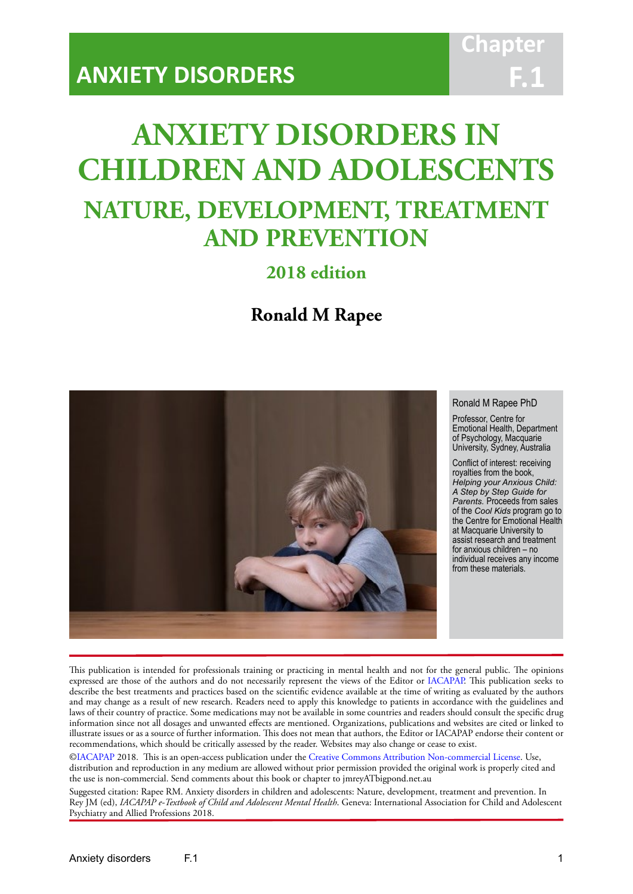# **Chapt F.1**

# **ANXIETY DISORDERS IN CHILDREN AND ADOLESCENTS NATURE, DEVELOPMENT, TREATMENT AND PREVENTION**

IACAPAP Textbook of Child and Adolescent Mental Health

# **2018 edition**

# **Ronald M Rapee**



#### Ronald M Rapee PhD

Professor, Centre for Emotional Health, Department of Psychology, Macquarie University, Sydney, Australia

Conflict of interest: receiving royalties from the book, *Helping your Anxious Child: A Step by Step Guide for Parents.* Proceeds from sales of the *Cool Kids* program go to the Centre for Emotional Health at Macquarie University to assist research and treatment for anxious children – no individual receives any income from these materials.

This publication is intended for professionals training or practicing in mental health and not for the general public. The opinions expressed are those of the authors and do not necessarily represent the views of the Editor or IACAPAP. This publication seeks to describe the best treatments and practices based on the scientific evidence available at the time of writing as evaluated by the authors and may change as a result of new research. Readers need to apply this knowledge to patients in accordance with the guidelines and laws of their country of practice. Some medications may not be available in some countries and readers should consult the specific drug information since not all dosages and unwanted effects are mentioned. Organizations, publications and websites are cited or linked to illustrate issues or as a source of further information. This does not mean that authors, the Editor or IACAPAP endorse their content or recommendations, which should be critically assessed by the reader. Websites may also change or cease to exist.

[©IACAPAP](http://iacapap.org) 2018. This is an open-access publication under the [Creative Commons Attribution Non-commercial License](http://creativecommons.org). Use, distribution and reproduction in any medium are allowed without prior permission provided the original work is properly cited and the use is non-commercial. Send comments about this book or chapter to jmreyATbigpond.net.au

Suggested citation: Rapee RM. Anxiety disorders in children and adolescents: Nature, development, treatment and prevention. In Rey JM (ed), *IACAPAP e-Textbook of Child and Adolescent Mental Health*. Geneva: International Association for Child and Adolescent Psychiatry and Allied Professions 2018.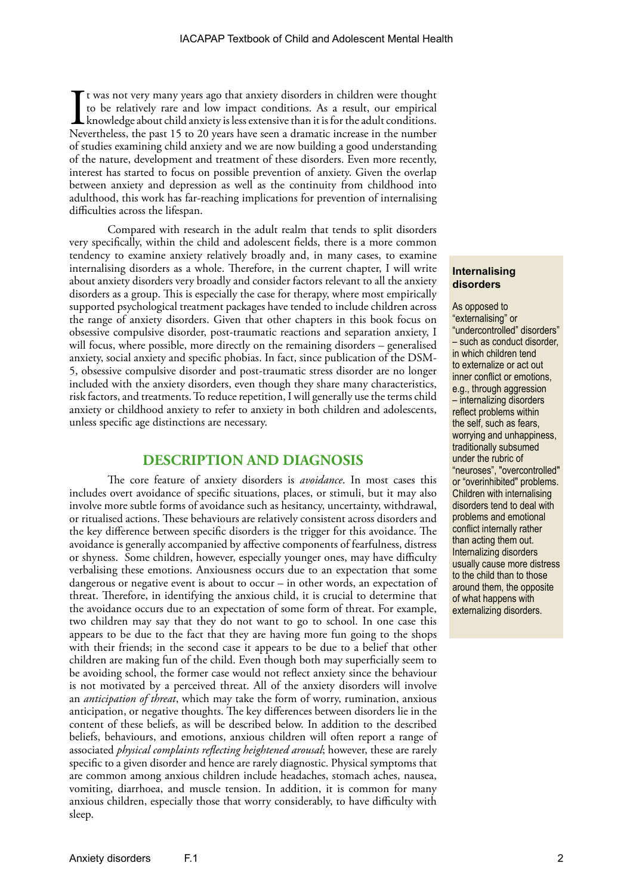I<br>Nev t was not very many years ago that anxiety disorders in children were thought to be relatively rare and low impact conditions. As a result, our empirical knowledge about child anxiety is less extensive than it is for the adult conditions. Nevertheless, the past 15 to 20 years have seen a dramatic increase in the number of studies examining child anxiety and we are now building a good understanding of the nature, development and treatment of these disorders. Even more recently, interest has started to focus on possible prevention of anxiety. Given the overlap between anxiety and depression as well as the continuity from childhood into adulthood, this work has far-reaching implications for prevention of internalising difficulties across the lifespan.

Compared with research in the adult realm that tends to split disorders very specifically, within the child and adolescent fields, there is a more common tendency to examine anxiety relatively broadly and, in many cases, to examine internalising disorders as a whole. Therefore, in the current chapter, I will write about anxiety disorders very broadly and consider factors relevant to all the anxiety disorders as a group. This is especially the case for therapy, where most empirically supported psychological treatment packages have tended to include children across the range of anxiety disorders. Given that other chapters in this book focus on obsessive compulsive disorder, post-traumatic reactions and separation anxiety, I will focus, where possible, more directly on the remaining disorders – generalised anxiety, social anxiety and specific phobias. In fact, since publication of the DSM-5, obsessive compulsive disorder and post-traumatic stress disorder are no longer included with the anxiety disorders, even though they share many characteristics, risk factors, and treatments. To reduce repetition, I will generally use the terms child anxiety or childhood anxiety to refer to anxiety in both children and adolescents, unless specific age distinctions are necessary.

## **DESCRIPTION AND DIAGNOSIS**

The core feature of anxiety disorders is *avoidance*. In most cases this includes overt avoidance of specific situations, places, or stimuli, but it may also involve more subtle forms of avoidance such as hesitancy, uncertainty, withdrawal, or ritualised actions. These behaviours are relatively consistent across disorders and the key difference between specific disorders is the trigger for this avoidance. The avoidance is generally accompanied by affective components of fearfulness, distress or shyness. Some children, however, especially younger ones, may have difficulty verbalising these emotions. Anxiousness occurs due to an expectation that some dangerous or negative event is about to occur – in other words, an expectation of threat. Therefore, in identifying the anxious child, it is crucial to determine that the avoidance occurs due to an expectation of some form of threat. For example, two children may say that they do not want to go to school. In one case this appears to be due to the fact that they are having more fun going to the shops with their friends; in the second case it appears to be due to a belief that other children are making fun of the child. Even though both may superficially seem to be avoiding school, the former case would not reflect anxiety since the behaviour is not motivated by a perceived threat. All of the anxiety disorders will involve an *anticipation of threat*, which may take the form of worry, rumination, anxious anticipation, or negative thoughts. The key differences between disorders lie in the content of these beliefs, as will be described below. In addition to the described beliefs, behaviours, and emotions, anxious children will often report a range of associated *physical complaints reflecting heightened arousal*; however, these are rarely specific to a given disorder and hence are rarely diagnostic. Physical symptoms that are common among anxious children include headaches, stomach aches, nausea, vomiting, diarrhoea, and muscle tension. In addition, it is common for many anxious children, especially those that worry considerably, to have difficulty with sleep.

#### **Internalising disorders**

As opposed to "externalising" or "undercontrolled" disorders" – such as conduct disorder, in which children tend to externalize or act out inner conflict or emotions, e.g., through aggression – internalizing disorders reflect problems within the self, such as fears, worrying and unhappiness, traditionally subsumed under the rubric of "neuroses", "overcontrolled" or "overinhibited" problems. Children with internalising disorders tend to deal with problems and emotional conflict internally rather than acting them out. Internalizing disorders usually cause more distress to the child than to those around them, the opposite of what happens with externalizing disorders.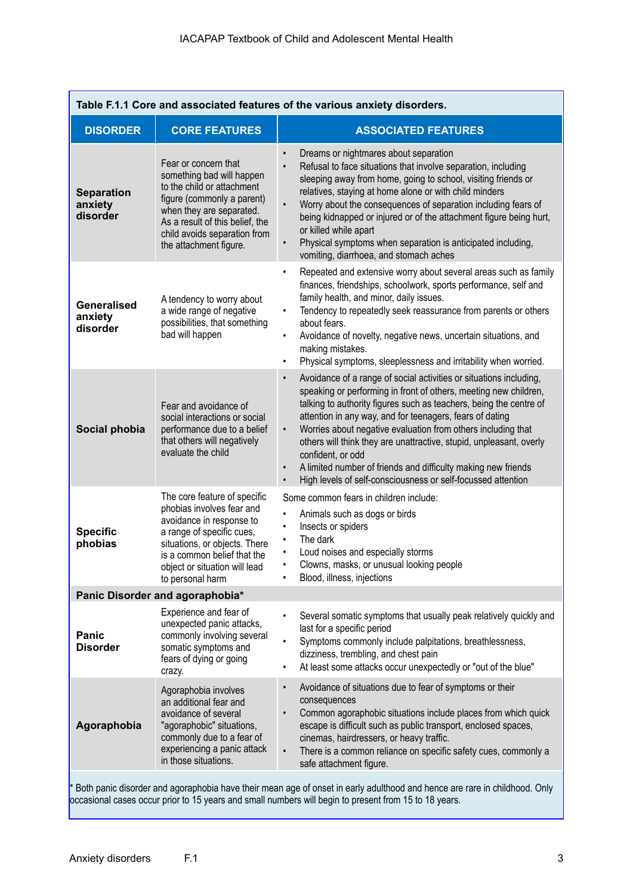| Table F.1.1 Core and associated features of the various anxiety disorders. |                                                                                                                                                                                                                                         |                                                                                                                                                                                                                                                                                                                                                                                                                                                                                                                                                                                                                           |  |
|----------------------------------------------------------------------------|-----------------------------------------------------------------------------------------------------------------------------------------------------------------------------------------------------------------------------------------|---------------------------------------------------------------------------------------------------------------------------------------------------------------------------------------------------------------------------------------------------------------------------------------------------------------------------------------------------------------------------------------------------------------------------------------------------------------------------------------------------------------------------------------------------------------------------------------------------------------------------|--|
| <b>DISORDER</b>                                                            | <b>CORE FEATURES</b>                                                                                                                                                                                                                    | <b>ASSOCIATED FEATURES</b>                                                                                                                                                                                                                                                                                                                                                                                                                                                                                                                                                                                                |  |
| <b>Separation</b><br>anxiety<br>disorder                                   | Fear or concern that<br>something bad will happen<br>to the child or attachment<br>figure (commonly a parent)<br>when they are separated.<br>As a result of this belief, the<br>child avoids separation from<br>the attachment figure.  | Dreams or nightmares about separation<br>Refusal to face situations that involve separation, including<br>sleeping away from home, going to school, visiting friends or<br>relatives, staying at home alone or with child minders<br>Worry about the consequences of separation including fears of<br>being kidnapped or injured or of the attachment figure being hurt,<br>or killed while apart<br>Physical symptoms when separation is anticipated including,<br>$\bullet$<br>vomiting, diarrhoea, and stomach aches                                                                                                   |  |
| <b>Generalised</b><br>anxiety<br>disorder                                  | A tendency to worry about<br>a wide range of negative<br>possibilities, that something<br>bad will happen                                                                                                                               | Repeated and extensive worry about several areas such as family<br>finances, friendships, schoolwork, sports performance, self and<br>family health, and minor, daily issues.<br>Tendency to repeatedly seek reassurance from parents or others<br>٠<br>about fears.<br>Avoidance of novelty, negative news, uncertain situations, and<br>making mistakes.<br>Physical symptoms, sleeplessness and irritability when worried.                                                                                                                                                                                             |  |
| Social phobia                                                              | Fear and avoidance of<br>social interactions or social<br>performance due to a belief<br>that others will negatively<br>evaluate the child                                                                                              | Avoidance of a range of social activities or situations including,<br>$\bullet$<br>speaking or performing in front of others, meeting new children,<br>talking to authority figures such as teachers, being the centre of<br>attention in any way, and for teenagers, fears of dating<br>Worries about negative evaluation from others including that<br>$\bullet$<br>others will think they are unattractive, stupid, unpleasant, overly<br>confident, or odd<br>A limited number of friends and difficulty making new friends<br>$\bullet$<br>High levels of self-consciousness or self-focussed attention<br>$\bullet$ |  |
| <b>Specific</b><br>phobias                                                 | The core feature of specific<br>phobias involves fear and<br>avoidance in response to<br>a range of specific cues,<br>situations, or objects. There<br>is a common belief that the<br>object or situation will lead<br>to personal harm | Some common fears in children include:<br>Animals such as dogs or birds<br>Insects or spiders<br>The dark<br>Loud noises and especially storms<br>Clowns, masks, or unusual looking people<br>Blood, illness, injections                                                                                                                                                                                                                                                                                                                                                                                                  |  |
|                                                                            | Panic Disorder and agoraphobia*                                                                                                                                                                                                         |                                                                                                                                                                                                                                                                                                                                                                                                                                                                                                                                                                                                                           |  |
| Panic<br><b>Disorder</b>                                                   | Experience and fear of<br>unexpected panic attacks,<br>commonly involving several<br>somatic symptoms and<br>fears of dying or going<br>crazy.                                                                                          | Several somatic symptoms that usually peak relatively quickly and<br>$\bullet$<br>last for a specific period<br>Symptoms commonly include palpitations, breathlessness,<br>$\bullet$<br>dizziness, trembling, and chest pain<br>At least some attacks occur unexpectedly or "out of the blue"<br>$\bullet$                                                                                                                                                                                                                                                                                                                |  |
| Agoraphobia                                                                | Agoraphobia involves<br>an additional fear and<br>avoidance of several<br>"agoraphobic" situations,<br>commonly due to a fear of<br>experiencing a panic attack<br>in those situations.                                                 | Avoidance of situations due to fear of symptoms or their<br>$\bullet$<br>consequences<br>Common agoraphobic situations include places from which quick<br>escape is difficult such as public transport, enclosed spaces,<br>cinemas, hairdressers, or heavy traffic.<br>There is a common reliance on specific safety cues, commonly a<br>$\bullet$<br>safe attachment figure.                                                                                                                                                                                                                                            |  |
|                                                                            |                                                                                                                                                                                                                                         | Both panic disorder and agoraphobia have their mean age of onset in early adulthood and hence are rare in childhood. Only<br>occasional cases occur prior to 15 years and small numbers will begin to present from 15 to 18 years.                                                                                                                                                                                                                                                                                                                                                                                        |  |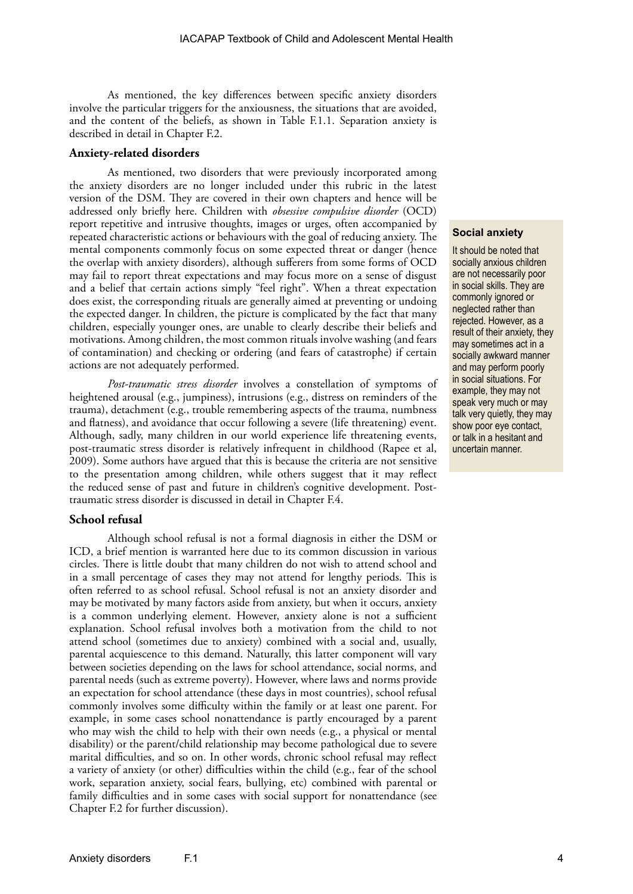As mentioned, the key differences between specific anxiety disorders involve the particular triggers for the anxiousness, the situations that are avoided, and the content of the beliefs, as shown in Table F.1.1. Separation anxiety is described in detail in Chapter F.2.

#### **Anxiety-related disorders**

As mentioned, two disorders that were previously incorporated among the anxiety disorders are no longer included under this rubric in the latest version of the DSM. They are covered in their own chapters and hence will be addressed only briefly here. Children with *obsessive compulsive disorder* (OCD) report repetitive and intrusive thoughts, images or urges, often accompanied by repeated characteristic actions or behaviours with the goal of reducing anxiety. The mental components commonly focus on some expected threat or danger (hence the overlap with anxiety disorders), although sufferers from some forms of OCD may fail to report threat expectations and may focus more on a sense of disgust and a belief that certain actions simply "feel right". When a threat expectation does exist, the corresponding rituals are generally aimed at preventing or undoing the expected danger. In children, the picture is complicated by the fact that many children, especially younger ones, are unable to clearly describe their beliefs and motivations. Among children, the most common rituals involve washing (and fears of contamination) and checking or ordering (and fears of catastrophe) if certain actions are not adequately performed.

*Post-traumatic stress disorder* involves a constellation of symptoms of heightened arousal (e.g., jumpiness), intrusions (e.g., distress on reminders of the trauma), detachment (e.g., trouble remembering aspects of the trauma, numbness and flatness), and avoidance that occur following a severe (life threatening) event. Although, sadly, many children in our world experience life threatening events, post-traumatic stress disorder is relatively infrequent in childhood (Rapee et al, 2009). Some authors have argued that this is because the criteria are not sensitive to the presentation among children, while others suggest that it may reflect the reduced sense of past and future in children's cognitive development. Posttraumatic stress disorder is discussed in detail in Chapter F.4.

#### **School refusal**

Although school refusal is not a formal diagnosis in either the DSM or ICD, a brief mention is warranted here due to its common discussion in various circles. There is little doubt that many children do not wish to attend school and in a small percentage of cases they may not attend for lengthy periods. This is often referred to as school refusal. School refusal is not an anxiety disorder and may be motivated by many factors aside from anxiety, but when it occurs, anxiety is a common underlying element. However, anxiety alone is not a sufficient explanation. School refusal involves both a motivation from the child to not attend school (sometimes due to anxiety) combined with a social and, usually, parental acquiescence to this demand. Naturally, this latter component will vary between societies depending on the laws for school attendance, social norms, and parental needs (such as extreme poverty). However, where laws and norms provide an expectation for school attendance (these days in most countries), school refusal commonly involves some difficulty within the family or at least one parent. For example, in some cases school nonattendance is partly encouraged by a parent who may wish the child to help with their own needs (e.g., a physical or mental disability) or the parent/child relationship may become pathological due to severe marital difficulties, and so on. In other words, chronic school refusal may reflect a variety of anxiety (or other) difficulties within the child (e.g., fear of the school work, separation anxiety, social fears, bullying, etc) combined with parental or family difficulties and in some cases with social support for nonattendance (see Chapter F.2 for further discussion).

#### **Social anxiety**

It should be noted that socially anxious children are not necessarily poor in social skills. They are commonly ignored or neglected rather than rejected. However, as a result of their anxiety, they may sometimes act in a socially awkward manner and may perform poorly in social situations. For example, they may not speak very much or may talk very quietly, they may show poor eye contact, or talk in a hesitant and uncertain manner.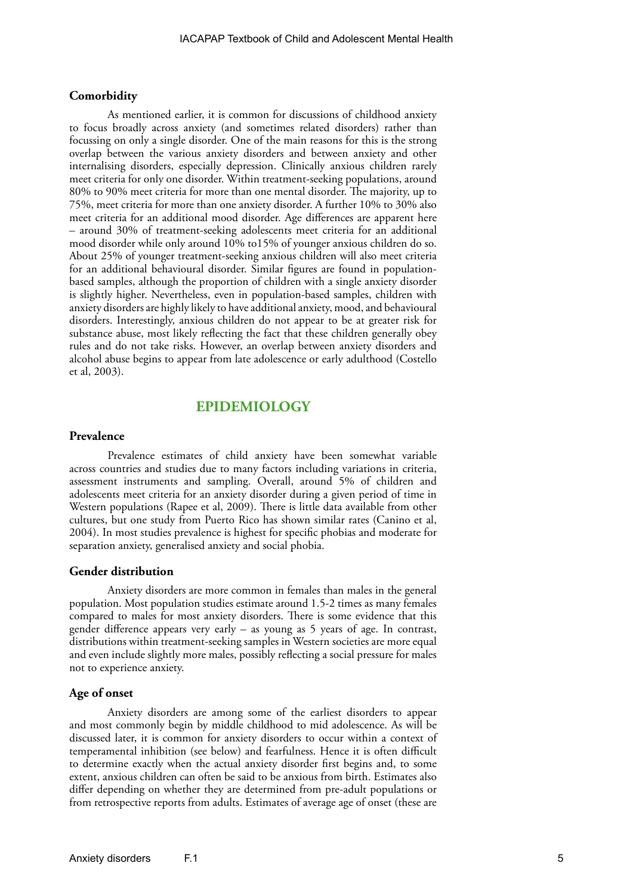#### **Comorbidity**

As mentioned earlier, it is common for discussions of childhood anxiety to focus broadly across anxiety (and sometimes related disorders) rather than focussing on only a single disorder. One of the main reasons for this is the strong overlap between the various anxiety disorders and between anxiety and other internalising disorders, especially depression. Clinically anxious children rarely meet criteria for only one disorder. Within treatment-seeking populations, around 80% to 90% meet criteria for more than one mental disorder. The majority, up to 75%, meet criteria for more than one anxiety disorder. A further 10% to 30% also meet criteria for an additional mood disorder. Age differences are apparent here – around 30% of treatment-seeking adolescents meet criteria for an additional mood disorder while only around 10% to15% of younger anxious children do so. About 25% of younger treatment-seeking anxious children will also meet criteria for an additional behavioural disorder. Similar figures are found in populationbased samples, although the proportion of children with a single anxiety disorder is slightly higher. Nevertheless, even in population-based samples, children with anxiety disorders are highly likely to have additional anxiety, mood, and behavioural disorders. Interestingly, anxious children do not appear to be at greater risk for substance abuse, most likely reflecting the fact that these children generally obey rules and do not take risks. However, an overlap between anxiety disorders and alcohol abuse begins to appear from late adolescence or early adulthood (Costello et al, 2003).

## **EPIDEMIOLOGY**

#### **Prevalence**

Prevalence estimates of child anxiety have been somewhat variable across countries and studies due to many factors including variations in criteria, assessment instruments and sampling. Overall, around 5% of children and adolescents meet criteria for an anxiety disorder during a given period of time in Western populations (Rapee et al, 2009). There is little data available from other cultures, but one study from Puerto Rico has shown similar rates (Canino et al, 2004). In most studies prevalence is highest for specific phobias and moderate for separation anxiety, generalised anxiety and social phobia.

#### **Gender distribution**

Anxiety disorders are more common in females than males in the general population. Most population studies estimate around 1.5-2 times as many females compared to males for most anxiety disorders. There is some evidence that this gender difference appears very early – as young as 5 years of age. In contrast, distributions within treatment-seeking samples in Western societies are more equal and even include slightly more males, possibly reflecting a social pressure for males not to experience anxiety.

#### **Age of onset**

Anxiety disorders are among some of the earliest disorders to appear and most commonly begin by middle childhood to mid adolescence. As will be discussed later, it is common for anxiety disorders to occur within a context of temperamental inhibition (see below) and fearfulness. Hence it is often difficult to determine exactly when the actual anxiety disorder first begins and, to some extent, anxious children can often be said to be anxious from birth. Estimates also differ depending on whether they are determined from pre-adult populations or from retrospective reports from adults. Estimates of average age of onset (these are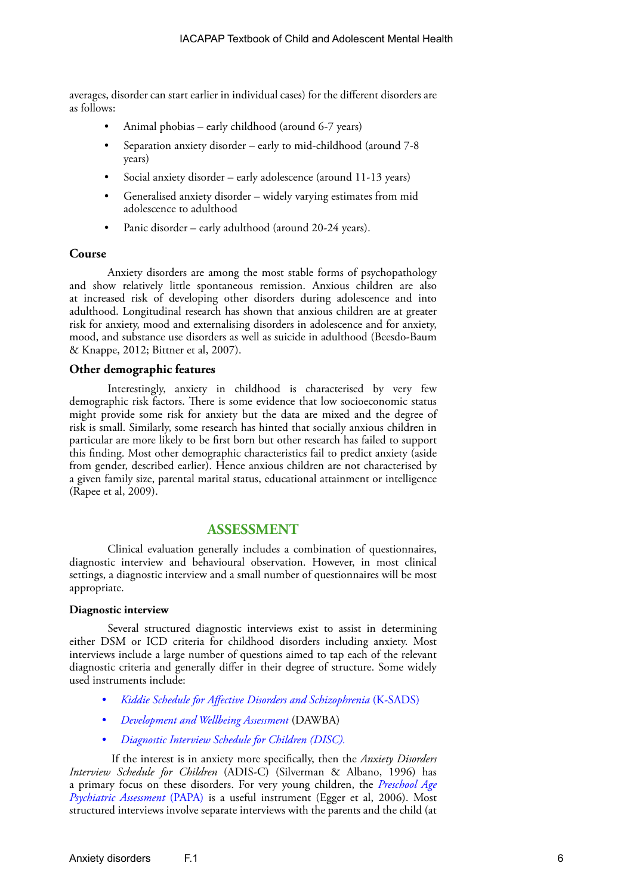averages, disorder can start earlier in individual cases) for the different disorders are as follows:

- Animal phobias early childhood (around 6-7 years)
- Separation anxiety disorder early to mid-childhood (around 7-8 years)
- Social anxiety disorder early adolescence (around 11-13 years)
- Generalised anxiety disorder widely varying estimates from mid adolescence to adulthood
- Panic disorder early adulthood (around 20-24 years).

#### **Course**

Anxiety disorders are among the most stable forms of psychopathology and show relatively little spontaneous remission. Anxious children are also at increased risk of developing other disorders during adolescence and into adulthood. Longitudinal research has shown that anxious children are at greater risk for anxiety, mood and externalising disorders in adolescence and for anxiety, mood, and substance use disorders as well as suicide in adulthood (Beesdo-Baum & Knappe, 2012; Bittner et al, 2007).

### **Other demographic features**

Interestingly, anxiety in childhood is characterised by very few demographic risk factors. There is some evidence that low socioeconomic status might provide some risk for anxiety but the data are mixed and the degree of risk is small. Similarly, some research has hinted that socially anxious children in particular are more likely to be first born but other research has failed to support this finding. Most other demographic characteristics fail to predict anxiety (aside from gender, described earlier). Hence anxious children are not characterised by a given family size, parental marital status, educational attainment or intelligence (Rapee et al, 2009).

## **ASSESSMENT**

Clinical evaluation generally includes a combination of questionnaires, diagnostic interview and behavioural observation. However, in most clinical settings, a diagnostic interview and a small number of questionnaires will be most appropriate.

#### **Diagnostic interview**

Several structured diagnostic interviews exist to assist in determining either DSM or ICD criteria for childhood disorders including anxiety. Most interviews include a large number of questions aimed to tap each of the relevant diagnostic criteria and generally differ in their degree of structure. Some widely used instruments include:

- *• [Kiddie Schedule for Affective Disorders and Schizophrenia](https://www.kennedykrieger.org/sites/default/files/community_files/ksads-dsm-5-screener.pdf)* (K-SADS)
- *• [Development and Wellbeing Assessment](http://www.dawba.com/)* (DAWBA)
- *• [Diagnostic Interview Schedule for Children](http://www.cdc.gov/nchs/data/nhanes/limited_access/interviewer_manual.pdf) (DISC).*

If the interest is in anxiety more specifically, then the *Anxiety Disorders Interview Schedule for Children* (ADIS-C) (Silverman & Albano, 1996) has a primary focus on these disorders. For very young children, the *[Preschool Age](http://devepi.duhs.duke.edu/pubs/papachapter.pdf)  [Psychiatric Assessment](http://devepi.duhs.duke.edu/pubs/papachapter.pdf)* (PAPA) is a useful instrument (Egger et al, 2006). Most structured interviews involve separate interviews with the parents and the child (at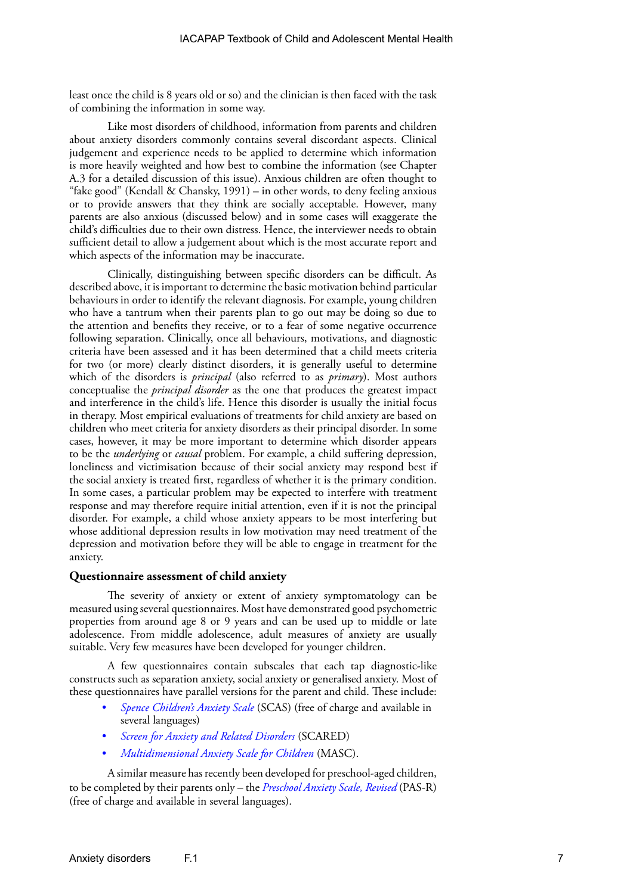least once the child is 8 years old or so) and the clinician is then faced with the task of combining the information in some way.

Like most disorders of childhood, information from parents and children about anxiety disorders commonly contains several discordant aspects. Clinical judgement and experience needs to be applied to determine which information is more heavily weighted and how best to combine the information (see Chapter A.3 for a detailed discussion of this issue). Anxious children are often thought to "fake good" (Kendall & Chansky, 1991) – in other words, to deny feeling anxious or to provide answers that they think are socially acceptable. However, many parents are also anxious (discussed below) and in some cases will exaggerate the child's difficulties due to their own distress. Hence, the interviewer needs to obtain sufficient detail to allow a judgement about which is the most accurate report and which aspects of the information may be inaccurate.

Clinically, distinguishing between specific disorders can be difficult. As described above, it is important to determine the basic motivation behind particular behaviours in order to identify the relevant diagnosis. For example, young children who have a tantrum when their parents plan to go out may be doing so due to the attention and benefits they receive, or to a fear of some negative occurrence following separation. Clinically, once all behaviours, motivations, and diagnostic criteria have been assessed and it has been determined that a child meets criteria for two (or more) clearly distinct disorders, it is generally useful to determine which of the disorders is *principal* (also referred to as *primary*). Most authors conceptualise the *principal disorder* as the one that produces the greatest impact and interference in the child's life. Hence this disorder is usually the initial focus in therapy. Most empirical evaluations of treatments for child anxiety are based on children who meet criteria for anxiety disorders as their principal disorder. In some cases, however, it may be more important to determine which disorder appears to be the *underlying* or *causal* problem. For example, a child suffering depression, loneliness and victimisation because of their social anxiety may respond best if the social anxiety is treated first, regardless of whether it is the primary condition. In some cases, a particular problem may be expected to interfere with treatment response and may therefore require initial attention, even if it is not the principal disorder. For example, a child whose anxiety appears to be most interfering but whose additional depression results in low motivation may need treatment of the depression and motivation before they will be able to engage in treatment for the anxiety.

#### **Questionnaire assessment of child anxiety**

The severity of anxiety or extent of anxiety symptomatology can be measured using several questionnaires. Most have demonstrated good psychometric properties from around age 8 or 9 years and can be used up to middle or late adolescence. From middle adolescence, adult measures of anxiety are usually suitable. Very few measures have been developed for younger children.

A few questionnaires contain subscales that each tap diagnostic-like constructs such as separation anxiety, social anxiety or generalised anxiety. Most of these questionnaires have parallel versions for the parent and child. These include:

- *• [Spence Children's Anxiety Scale](http://www.scaswebsite.com/)* (SCAS) (free of charge and available in several languages)
- *• [Screen for Anxiety and Related Disorders](http://www.pediatricbipolar.pitt.edu/resources/instruments)* (SCARED)
- *• [Multidimensional Anxiety Scale for Children](https://www.mhs.com/MHS-Assessment?prodname=masc2)* (MASC).

A similar measure has recently been developed for preschool-aged children, to be completed by their parents only – the *[Preschool Anxiety Scale, Revised](https://www.mq.edu.au/research/research-centres-groups-and-facilities/healthy-people/centres/centre-for-emotional-health-ceh/resources)* (PAS-R) (free of charge and available in several languages).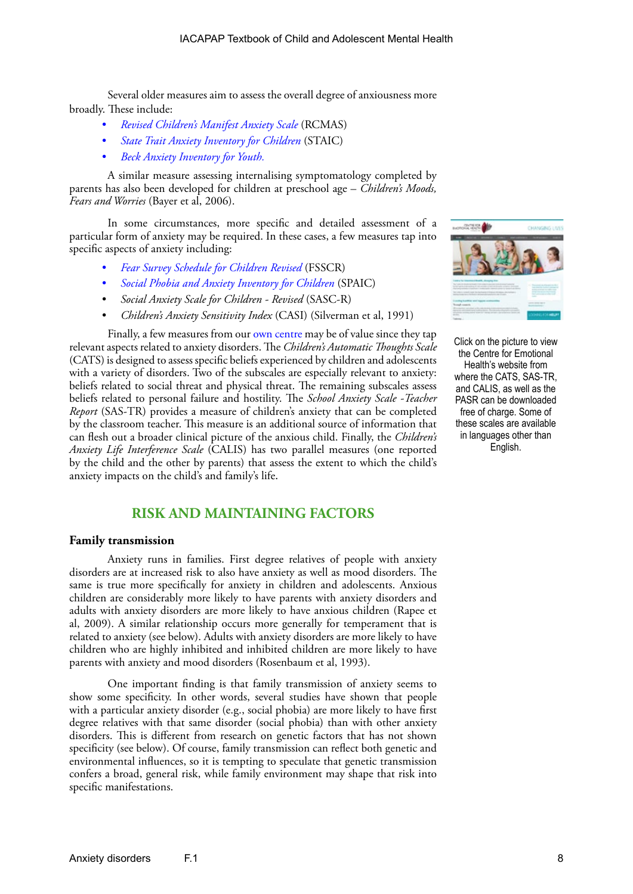Several older measures aim to assess the overall degree of anxiousness more broadly. These include:

- *• [Revised Children's Manifest Anxiety Scale](https://www.wpspublish.com/store/p/2934/revised-childrens-manifest-anxiety-scale-second-edition-rcmas-2)* (RCMAS)
- *• [State Trait Anxiety Inventory for Children](http://www.mindgarden.com/products/staisch.htm)* (STAIC)
- *• [Beck Anxiety Inventory for Youth](https://www.pearsonclinical.com/psychology/products/100000153/beck-youth-inventories-second-edition-byi-ii.html).*

A similar measure assessing internalising symptomatology completed by parents has also been developed for children at preschool age – *Children's Moods, Fears and Worries* (Bayer et al, 2006).

In some circumstances, more specific and detailed assessment of a particular form of anxiety may be required. In these cases, a few measures tap into specific aspects of anxiety including:

- *• [Fear Survey Schedule for Children Revised](http://onlinelibrary.wiley.com/doi/10.1002/9780470713334.app3/pdf)* (FSSCR)
- *• [Social Phobia and Anxiety Inventory for Children](https://eprovide.mapi-trust.org/instruments/social-phobia-and-anxiety-inventory-for-children)* (SPAIC)
- *• Social Anxiety Scale for Children Revised* (SASC-R)
- *• Children's Anxiety Sensitivity Index* (CASI) (Silverman et al, 1991)

Finally, a few measures from our [own centre](https://www.mq.edu.au/research/research-centres-groups-and-facilities/healthy-people/centres/centre-for-emotional-health-ceh/resources) may be of value since they tap relevant aspects related to anxiety disorders. The *Children's Automatic Thoughts Scale*  (CATS) is designed to assess specific beliefs experienced by children and adolescents with a variety of disorders. Two of the subscales are especially relevant to anxiety: beliefs related to social threat and physical threat. The remaining subscales assess beliefs related to personal failure and hostility. The *School Anxiety Scale -Teacher Report* (SAS-TR) provides a measure of children's anxiety that can be completed by the classroom teacher. This measure is an additional source of information that can flesh out a broader clinical picture of the anxious child. Finally, the *Children's Anxiety Life Interference Scale* (CALIS) has two parallel measures (one reported by the child and the other by parents) that assess the extent to which the child's anxiety impacts on the child's and family's life.



#### **Family transmission**

Anxiety runs in families. First degree relatives of people with anxiety disorders are at increased risk to also have anxiety as well as mood disorders. The same is true more specifically for anxiety in children and adolescents. Anxious children are considerably more likely to have parents with anxiety disorders and adults with anxiety disorders are more likely to have anxious children (Rapee et al, 2009). A similar relationship occurs more generally for temperament that is related to anxiety (see below). Adults with anxiety disorders are more likely to have children who are highly inhibited and inhibited children are more likely to have parents with anxiety and mood disorders (Rosenbaum et al, 1993).

One important finding is that family transmission of anxiety seems to show some specificity. In other words, several studies have shown that people with a particular anxiety disorder (e.g., social phobia) are more likely to have first degree relatives with that same disorder (social phobia) than with other anxiety disorders. This is different from research on genetic factors that has not shown specificity (see below). Of course, family transmission can reflect both genetic and environmental influences, so it is tempting to speculate that genetic transmission confers a broad, general risk, while family environment may shape that risk into specific manifestations.



Click on the picture to view the Centre for Emotional Health's website from where the CATS, SAS-TR, and CALIS, as well as the PASR can be downloaded free of charge. Some of these scales are available in languages other than English.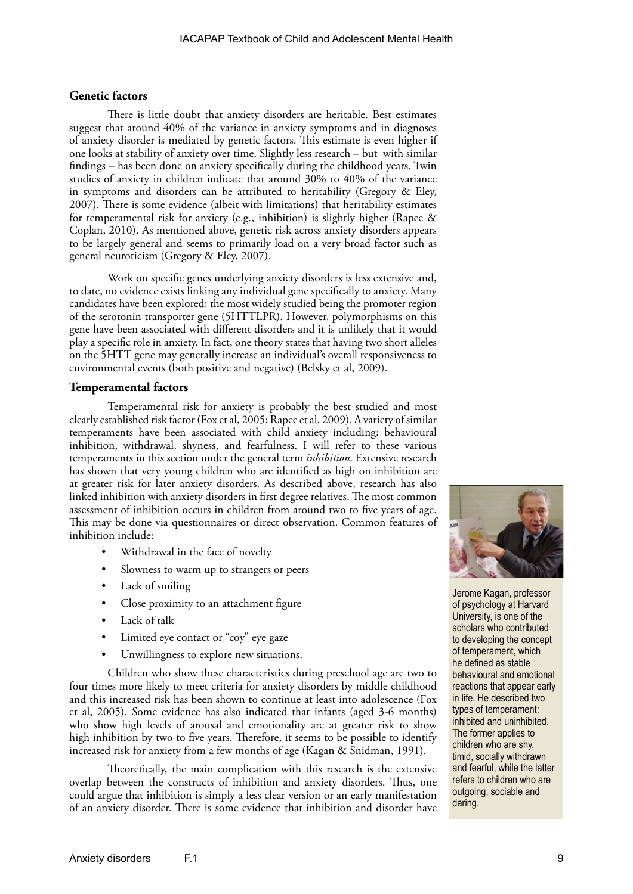#### **Genetic factors**

There is little doubt that anxiety disorders are heritable. Best estimates suggest that around 40% of the variance in anxiety symptoms and in diagnoses of anxiety disorder is mediated by genetic factors. This estimate is even higher if one looks at stability of anxiety over time. Slightly less research – but with similar findings – has been done on anxiety specifically during the childhood years. Twin studies of anxiety in children indicate that around 30% to 40% of the variance in symptoms and disorders can be attributed to heritability (Gregory & Eley, 2007). There is some evidence (albeit with limitations) that heritability estimates for temperamental risk for anxiety (e.g., inhibition) is slightly higher (Rapee & Coplan, 2010). As mentioned above, genetic risk across anxiety disorders appears to be largely general and seems to primarily load on a very broad factor such as general neuroticism (Gregory & Eley, 2007).

Work on specific genes underlying anxiety disorders is less extensive and, to date, no evidence exists linking any individual gene specifically to anxiety. Many candidates have been explored; the most widely studied being the promoter region of the serotonin transporter gene (5HTTLPR). However, polymorphisms on this gene have been associated with different disorders and it is unlikely that it would play a specific role in anxiety. In fact, one theory states that having two short alleles on the 5HTT gene may generally increase an individual's overall responsiveness to environmental events (both positive and negative) (Belsky et al, 2009).

#### **Temperamental factors**

Temperamental risk for anxiety is probably the best studied and most clearly established risk factor (Fox et al, 2005; Rapee et al, 2009). A variety of similar temperaments have been associated with child anxiety including: behavioural inhibition, withdrawal, shyness, and fearfulness. I will refer to these various temperaments in this section under the general term *inhibition*. Extensive research has shown that very young children who are identified as high on inhibition are at greater risk for later anxiety disorders. As described above, research has also linked inhibition with anxiety disorders in first degree relatives. The most common assessment of inhibition occurs in children from around two to five years of age. This may be done via questionnaires or direct observation. Common features of inhibition include:

- Withdrawal in the face of novelty
- Slowness to warm up to strangers or peers
- Lack of smiling
- Close proximity to an attachment figure
- Lack of talk
- Limited eye contact or "coy" eye gaze
- Unwillingness to explore new situations.

Children who show these characteristics during preschool age are two to four times more likely to meet criteria for anxiety disorders by middle childhood and this increased risk has been shown to continue at least into adolescence (Fox et al, 2005). Some evidence has also indicated that infants (aged 3-6 months) who show high levels of arousal and emotionality are at greater risk to show high inhibition by two to five years. Therefore, it seems to be possible to identify increased risk for anxiety from a few months of age (Kagan & Snidman, 1991).

Theoretically, the main complication with this research is the extensive overlap between the constructs of inhibition and anxiety disorders. Thus, one could argue that inhibition is simply a less clear version or an early manifestation of an anxiety disorder. There is some evidence that inhibition and disorder have



Jerome Kagan, professor of psychology at Harvard University, is one of the scholars who contributed to developing the concept of temperament, which he defined as stable behavioural and emotional reactions that appear early in life. He described two types of temperament: inhibited and uninhibited. The former applies to children who are shy, timid, socially withdrawn and fearful, while the latter refers to children who are outgoing, sociable and daring.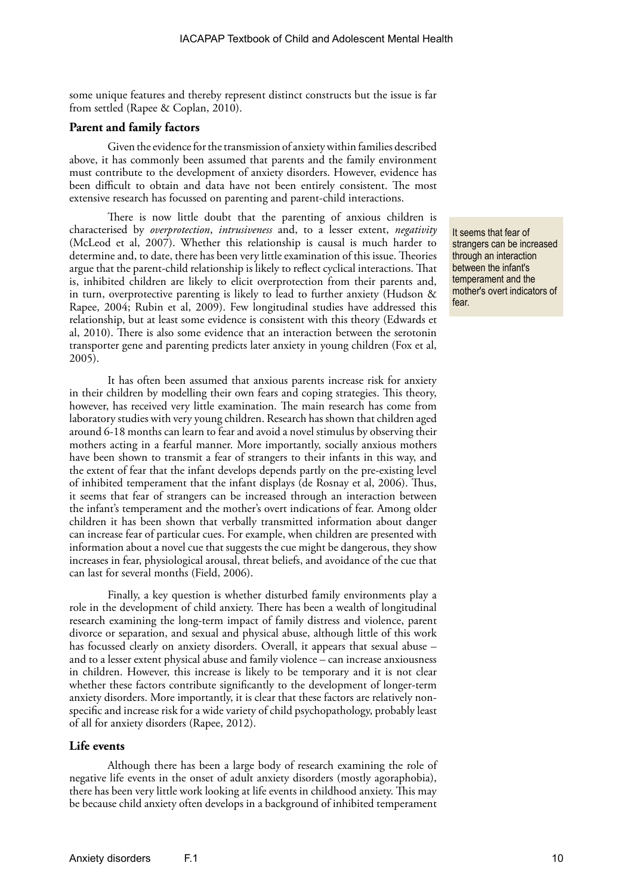some unique features and thereby represent distinct constructs but the issue is far from settled (Rapee & Coplan, 2010).

#### **Parent and family factors**

Given the evidence for the transmission of anxiety within families described above, it has commonly been assumed that parents and the family environment must contribute to the development of anxiety disorders. However, evidence has been difficult to obtain and data have not been entirely consistent. The most extensive research has focussed on parenting and parent-child interactions.

There is now little doubt that the parenting of anxious children is characterised by *overprotection*, *intrusiveness* and, to a lesser extent, *negativity* (McLeod et al, 2007). Whether this relationship is causal is much harder to determine and, to date, there has been very little examination of this issue. Theories argue that the parent-child relationship is likely to reflect cyclical interactions. That is, inhibited children are likely to elicit overprotection from their parents and, in turn, overprotective parenting is likely to lead to further anxiety (Hudson & Rapee, 2004; Rubin et al, 2009). Few longitudinal studies have addressed this relationship, but at least some evidence is consistent with this theory (Edwards et al, 2010). There is also some evidence that an interaction between the serotonin transporter gene and parenting predicts later anxiety in young children (Fox et al, 2005).

It has often been assumed that anxious parents increase risk for anxiety in their children by modelling their own fears and coping strategies. This theory, however, has received very little examination. The main research has come from laboratory studies with very young children. Research has shown that children aged around 6-18 months can learn to fear and avoid a novel stimulus by observing their mothers acting in a fearful manner. More importantly, socially anxious mothers have been shown to transmit a fear of strangers to their infants in this way, and the extent of fear that the infant develops depends partly on the pre-existing level of inhibited temperament that the infant displays (de Rosnay et al, 2006). Thus, it seems that fear of strangers can be increased through an interaction between the infant's temperament and the mother's overt indications of fear. Among older children it has been shown that verbally transmitted information about danger can increase fear of particular cues. For example, when children are presented with information about a novel cue that suggests the cue might be dangerous, they show increases in fear, physiological arousal, threat beliefs, and avoidance of the cue that can last for several months (Field, 2006).

Finally, a key question is whether disturbed family environments play a role in the development of child anxiety. There has been a wealth of longitudinal research examining the long-term impact of family distress and violence, parent divorce or separation, and sexual and physical abuse, although little of this work has focussed clearly on anxiety disorders. Overall, it appears that sexual abuse – and to a lesser extent physical abuse and family violence – can increase anxiousness in children. However, this increase is likely to be temporary and it is not clear whether these factors contribute significantly to the development of longer-term anxiety disorders. More importantly, it is clear that these factors are relatively nonspecific and increase risk for a wide variety of child psychopathology, probably least of all for anxiety disorders (Rapee, 2012).

#### **Life events**

Although there has been a large body of research examining the role of negative life events in the onset of adult anxiety disorders (mostly agoraphobia), there has been very little work looking at life events in childhood anxiety. This may be because child anxiety often develops in a background of inhibited temperament

It seems that fear of strangers can be increased through an interaction between the infant's temperament and the mother's overt indicators of fear.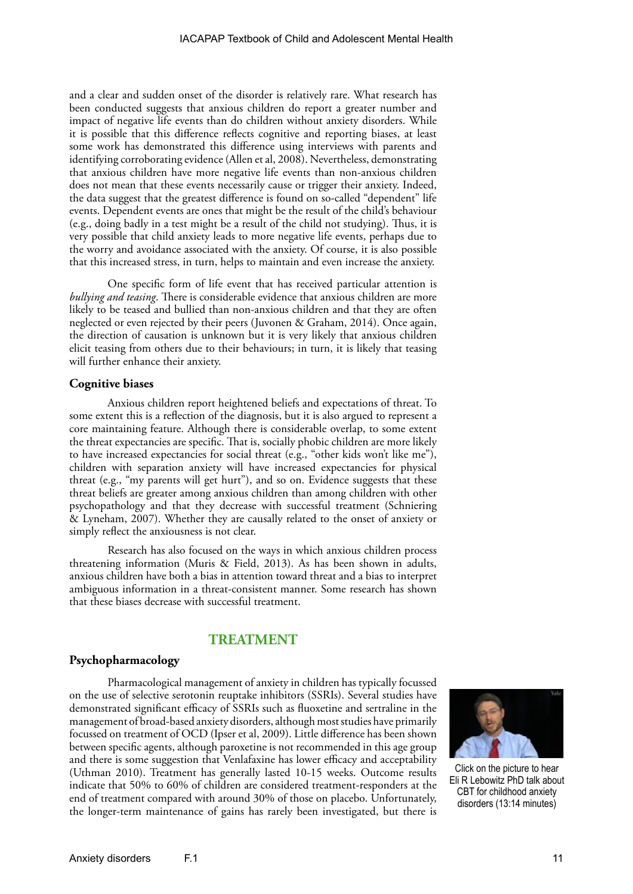and a clear and sudden onset of the disorder is relatively rare. What research has been conducted suggests that anxious children do report a greater number and impact of negative life events than do children without anxiety disorders. While it is possible that this difference reflects cognitive and reporting biases, at least some work has demonstrated this difference using interviews with parents and identifying corroborating evidence (Allen et al, 2008). Nevertheless, demonstrating that anxious children have more negative life events than non-anxious children does not mean that these events necessarily cause or trigger their anxiety. Indeed, the data suggest that the greatest difference is found on so-called "dependent" life events. Dependent events are ones that might be the result of the child's behaviour (e.g., doing badly in a test might be a result of the child not studying). Thus, it is very possible that child anxiety leads to more negative life events, perhaps due to the worry and avoidance associated with the anxiety. Of course, it is also possible that this increased stress, in turn, helps to maintain and even increase the anxiety.

One specific form of life event that has received particular attention is *bullying and teasing*. There is considerable evidence that anxious children are more likely to be teased and bullied than non-anxious children and that they are often neglected or even rejected by their peers (Juvonen & Graham, 2014). Once again, the direction of causation is unknown but it is very likely that anxious children elicit teasing from others due to their behaviours; in turn, it is likely that teasing will further enhance their anxiety.

#### **Cognitive biases**

Anxious children report heightened beliefs and expectations of threat. To some extent this is a reflection of the diagnosis, but it is also argued to represent a core maintaining feature. Although there is considerable overlap, to some extent the threat expectancies are specific. That is, socially phobic children are more likely to have increased expectancies for social threat (e.g., "other kids won't like me"), children with separation anxiety will have increased expectancies for physical threat (e.g., "my parents will get hurt"), and so on. Evidence suggests that these threat beliefs are greater among anxious children than among children with other psychopathology and that they decrease with successful treatment (Schniering & Lyneham, 2007). Whether they are causally related to the onset of anxiety or simply reflect the anxiousness is not clear.

Research has also focused on the ways in which anxious children process threatening information (Muris & Field, 2013). As has been shown in adults, anxious children have both a bias in attention toward threat and a bias to interpret ambiguous information in a threat-consistent manner. Some research has shown that these biases decrease with successful treatment.

### **TREATMENT**

#### **Psychopharmacology**

Pharmacological management of anxiety in children has typically focussed on the use of selective serotonin reuptake inhibitors (SSRIs). Several studies have demonstrated significant efficacy of SSRIs such as fluoxetine and sertraline in the management of broad-based anxiety disorders, although most studies have primarily focussed on treatment of OCD (Ipser et al, 2009). Little difference has been shown between specific agents, although paroxetine is not recommended in this age group and there is some suggestion that Venlafaxine has lower efficacy and acceptability (Uthman 2010). Treatment has generally lasted 10-15 weeks. Outcome results indicate that 50% to 60% of children are considered treatment-responders at the end of treatment compared with around 30% of those on placebo. Unfortunately, the longer-term maintenance of gains has rarely been investigated, but there is



Click on the picture to hear Eli R Lebowitz PhD talk about CBT for childhood anxiety disorders (13:14 minutes)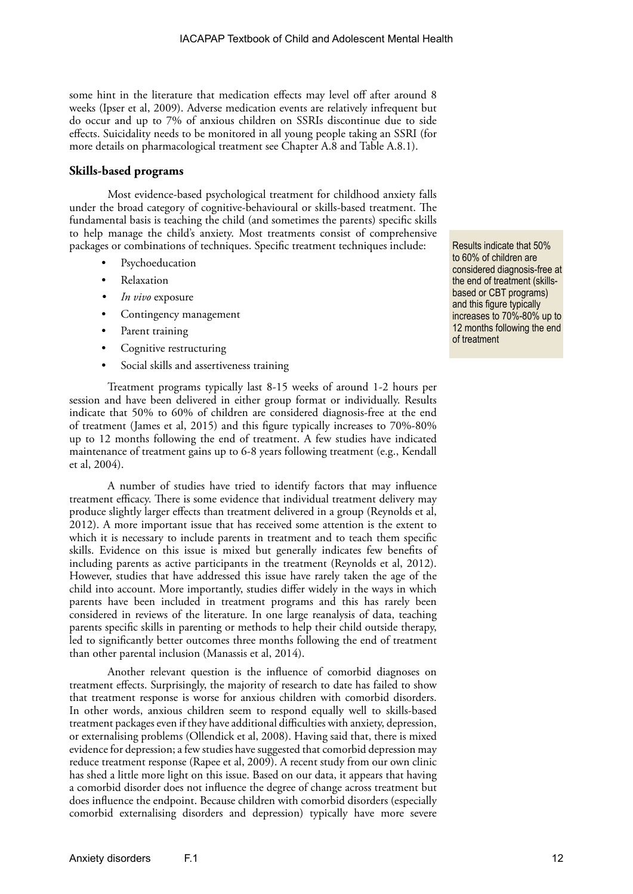some hint in the literature that medication effects may level off after around 8 weeks (Ipser et al, 2009). Adverse medication events are relatively infrequent but do occur and up to 7% of anxious children on SSRIs discontinue due to side effects. Suicidality needs to be monitored in all young people taking an SSRI (for more details on pharmacological treatment see Chapter A.8 and Table A.8.1).

#### **Skills-based programs**

Most evidence-based psychological treatment for childhood anxiety falls under the broad category of cognitive-behavioural or skills-based treatment. The fundamental basis is teaching the child (and sometimes the parents) specific skills to help manage the child's anxiety. Most treatments consist of comprehensive packages or combinations of techniques. Specific treatment techniques include:

- **Psychoeducation**
- Relaxation
- *• In vivo* exposure
- Contingency management
- Parent training
- Cognitive restructuring
- Social skills and assertiveness training

Treatment programs typically last 8-15 weeks of around 1-2 hours per session and have been delivered in either group format or individually. Results indicate that 50% to 60% of children are considered diagnosis-free at the end of treatment (James et al, 2015) and this figure typically increases to 70%-80% up to 12 months following the end of treatment. A few studies have indicated maintenance of treatment gains up to 6-8 years following treatment (e.g., Kendall et al, 2004).

A number of studies have tried to identify factors that may influence treatment efficacy. There is some evidence that individual treatment delivery may produce slightly larger effects than treatment delivered in a group (Reynolds et al, 2012). A more important issue that has received some attention is the extent to which it is necessary to include parents in treatment and to teach them specific skills. Evidence on this issue is mixed but generally indicates few benefits of including parents as active participants in the treatment (Reynolds et al, 2012). However, studies that have addressed this issue have rarely taken the age of the child into account. More importantly, studies differ widely in the ways in which parents have been included in treatment programs and this has rarely been considered in reviews of the literature. In one large reanalysis of data, teaching parents specific skills in parenting or methods to help their child outside therapy, led to significantly better outcomes three months following the end of treatment than other parental inclusion (Manassis et al, 2014).

Another relevant question is the influence of comorbid diagnoses on treatment effects. Surprisingly, the majority of research to date has failed to show that treatment response is worse for anxious children with comorbid disorders. In other words, anxious children seem to respond equally well to skills-based treatment packages even if they have additional difficulties with anxiety, depression, or externalising problems (Ollendick et al, 2008). Having said that, there is mixed evidence for depression; a few studies have suggested that comorbid depression may reduce treatment response (Rapee et al, 2009). A recent study from our own clinic has shed a little more light on this issue. Based on our data, it appears that having a comorbid disorder does not influence the degree of change across treatment but does influence the endpoint. Because children with comorbid disorders (especially comorbid externalising disorders and depression) typically have more severe

Results indicate that 50% to 60% of children are considered diagnosis-free at the end of treatment (skillsbased or CBT programs) and this figure typically increases to 70%-80% up to 12 months following the end of treatment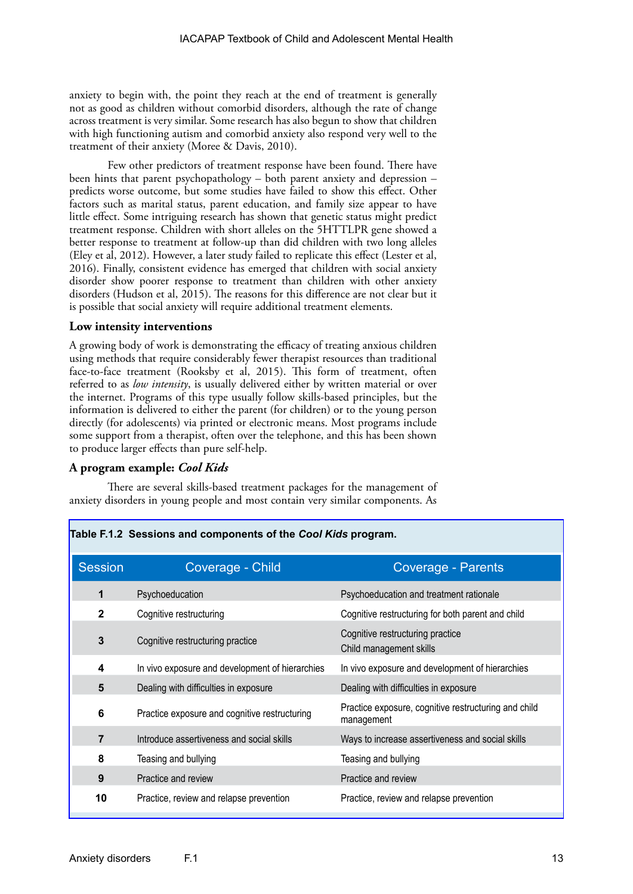anxiety to begin with, the point they reach at the end of treatment is generally not as good as children without comorbid disorders, although the rate of change across treatment is very similar. Some research has also begun to show that children with high functioning autism and comorbid anxiety also respond very well to the treatment of their anxiety (Moree & Davis, 2010).

Few other predictors of treatment response have been found. There have been hints that parent psychopathology – both parent anxiety and depression – predicts worse outcome, but some studies have failed to show this effect. Other factors such as marital status, parent education, and family size appear to have little effect. Some intriguing research has shown that genetic status might predict treatment response. Children with short alleles on the 5HTTLPR gene showed a better response to treatment at follow-up than did children with two long alleles (Eley et al, 2012). However, a later study failed to replicate this effect (Lester et al, 2016). Finally, consistent evidence has emerged that children with social anxiety disorder show poorer response to treatment than children with other anxiety disorders (Hudson et al, 2015). The reasons for this difference are not clear but it is possible that social anxiety will require additional treatment elements.

#### **Low intensity interventions**

A growing body of work is demonstrating the efficacy of treating anxious children using methods that require considerably fewer therapist resources than traditional face-to-face treatment (Rooksby et al, 2015). This form of treatment, often referred to as *low intensity*, is usually delivered either by written material or over the internet. Programs of this type usually follow skills-based principles, but the information is delivered to either the parent (for children) or to the young person directly (for adolescents) via printed or electronic means. Most programs include some support from a therapist, often over the telephone, and this has been shown to produce larger effects than pure self-help.

#### **A program example:** *Cool Kids*

There are several skills-based treatment packages for the management of anxiety disorders in young people and most contain very similar components. As

| <b>Session</b> | Coverage - Child                                | <b>Coverage - Parents</b>                                          |
|----------------|-------------------------------------------------|--------------------------------------------------------------------|
| 1              | Psychoeducation                                 | Psychoeducation and treatment rationale                            |
| $\mathbf{2}$   | Cognitive restructuring                         | Cognitive restructuring for both parent and child                  |
| 3              | Cognitive restructuring practice                | Cognitive restructuring practice<br>Child management skills        |
| 4              | In vivo exposure and development of hierarchies | In vivo exposure and development of hierarchies                    |
| 5              | Dealing with difficulties in exposure           | Dealing with difficulties in exposure                              |
| 6              | Practice exposure and cognitive restructuring   | Practice exposure, cognitive restructuring and child<br>management |
| $\overline{7}$ | Introduce assertiveness and social skills       | Ways to increase assertiveness and social skills                   |
| 8              | Teasing and bullying                            | Teasing and bullying                                               |
| 9              | Practice and review                             | Practice and review                                                |
| 10             | Practice, review and relapse prevention         | Practice, review and relapse prevention                            |

#### **Table F.1.2 Sessions and components of the** *Cool Kids* **program.**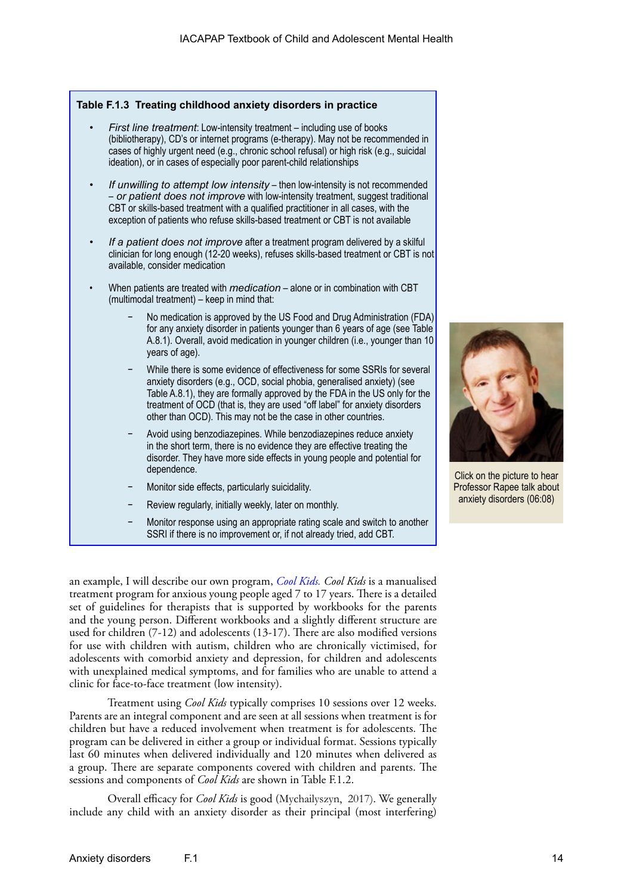|           |                                                                                                                                                                                                                                                                                                                                           | Table F.1.3 Treating childhood anxiety disorders in practice                                                                                                                                                                                                                                                                                                                    |  |  |  |
|-----------|-------------------------------------------------------------------------------------------------------------------------------------------------------------------------------------------------------------------------------------------------------------------------------------------------------------------------------------------|---------------------------------------------------------------------------------------------------------------------------------------------------------------------------------------------------------------------------------------------------------------------------------------------------------------------------------------------------------------------------------|--|--|--|
|           |                                                                                                                                                                                                                                                                                                                                           | First line treatment: Low-intensity treatment - including use of books<br>(bibliotherapy), CD's or internet programs (e-therapy). May not be recommended in<br>cases of highly urgent need (e.g., chronic school refusal) or high risk (e.g., suicidal<br>ideation), or in cases of especially poor parent-child relationships                                                  |  |  |  |
|           | If unwilling to attempt low intensity - then low-intensity is not recommended<br>- or patient does not improve with low-intensity treatment, suggest traditional<br>CBT or skills-based treatment with a qualified practitioner in all cases, with the<br>exception of patients who refuse skills-based treatment or CBT is not available |                                                                                                                                                                                                                                                                                                                                                                                 |  |  |  |
| $\bullet$ |                                                                                                                                                                                                                                                                                                                                           | If a patient does not improve after a treatment program delivered by a skilful<br>clinician for long enough (12-20 weeks), refuses skills-based treatment or CBT is not<br>available, consider medication                                                                                                                                                                       |  |  |  |
|           |                                                                                                                                                                                                                                                                                                                                           | When patients are treated with <i>medication</i> - alone or in combination with CBT<br>(multimodal treatment) - keep in mind that:                                                                                                                                                                                                                                              |  |  |  |
|           |                                                                                                                                                                                                                                                                                                                                           | No medication is approved by the US Food and Drug Administration (FDA)<br>for any anxiety disorder in patients younger than 6 years of age (see Table<br>A.8.1). Overall, avoid medication in younger children (i.e., younger than 10<br>years of age).                                                                                                                         |  |  |  |
|           |                                                                                                                                                                                                                                                                                                                                           | While there is some evidence of effectiveness for some SSRIs for several<br>anxiety disorders (e.g., OCD, social phobia, generalised anxiety) (see<br>Table A.8.1), they are formally approved by the FDA in the US only for the<br>treatment of OCD (that is, they are used "off label" for anxiety disorders<br>other than OCD). This may not be the case in other countries. |  |  |  |
|           |                                                                                                                                                                                                                                                                                                                                           | Avoid using benzodiazepines. While benzodiazepines reduce anxiety<br>in the short term, there is no evidence they are effective treating the<br>disorder. They have more side effects in young people and potential for<br>dependence.                                                                                                                                          |  |  |  |
|           |                                                                                                                                                                                                                                                                                                                                           | Monitor side effects, particularly suicidality.                                                                                                                                                                                                                                                                                                                                 |  |  |  |
|           |                                                                                                                                                                                                                                                                                                                                           | Review regularly, initially weekly, later on monthly.                                                                                                                                                                                                                                                                                                                           |  |  |  |
|           |                                                                                                                                                                                                                                                                                                                                           | Monitor response using an appropriate rating scale and switch to another<br>SSRI if there is no improvement or, if not already tried, add CBT.                                                                                                                                                                                                                                  |  |  |  |

an example, I will describe our own program, *[Cool Kids.](https://www.mq.edu.au/about/campus-services-and-facilities/hospital-and-clinics/centre-for-emotional-health-clinic/cool-kids-anxiety-program-for-professionals) Cool Kids* is a manualised treatment program for anxious young people aged 7 to 17 years. There is a detailed set of guidelines for therapists that is supported by workbooks for the parents and the young person. Different workbooks and a slightly different structure are used for children (7-12) and adolescents (13-17). There are also modified versions for use with children with autism, children who are chronically victimised, for adolescents with comorbid anxiety and depression, for children and adolescents with unexplained medical symptoms, and for families who are unable to attend a clinic for face-to-face treatment (low intensity).

Treatment using *Cool Kids* typically comprises 10 sessions over 12 weeks. Parents are an integral component and are seen at all sessions when treatment is for children but have a reduced involvement when treatment is for adolescents. The program can be delivered in either a group or individual format. Sessions typically last 60 minutes when delivered individually and 120 minutes when delivered as a group. There are separate components covered with children and parents. The sessions and components of *Cool Kids* are shown in Table F.1.2.

Overall efficacy for *Cool Kids* is good (Mychailyszyn, 2017). We generally include any child with an anxiety disorder as their principal (most interfering)



Click on the picture to hear Professor Rapee talk about anxiety disorders (06:08)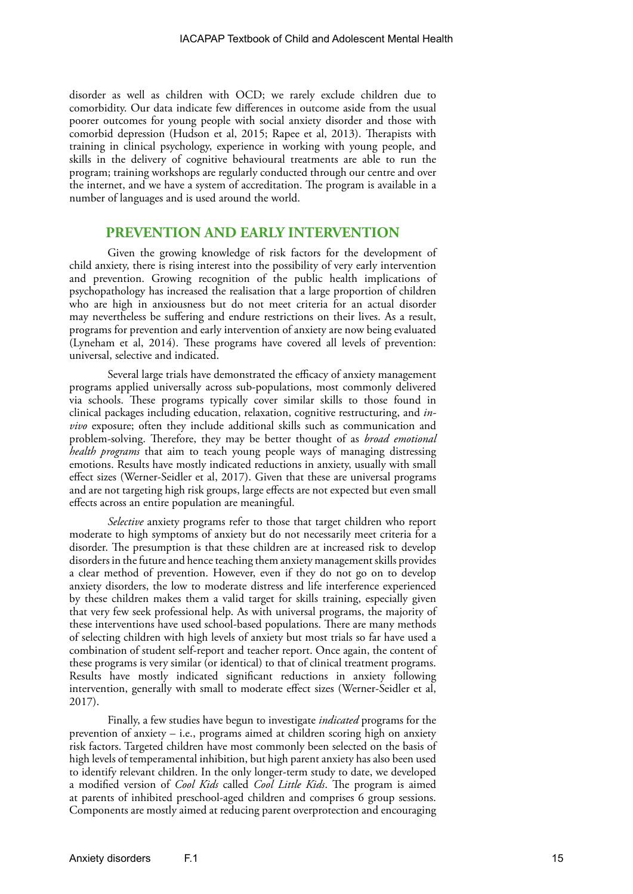disorder as well as children with OCD; we rarely exclude children due to comorbidity. Our data indicate few differences in outcome aside from the usual poorer outcomes for young people with social anxiety disorder and those with comorbid depression (Hudson et al, 2015; Rapee et al, 2013). Therapists with training in clinical psychology, experience in working with young people, and skills in the delivery of cognitive behavioural treatments are able to run the program; training workshops are regularly conducted through our centre and over the internet, and we have a system of accreditation. The program is available in a number of languages and is used around the world.

### **PREVENTION AND EARLY INTERVENTION**

Given the growing knowledge of risk factors for the development of child anxiety, there is rising interest into the possibility of very early intervention and prevention. Growing recognition of the public health implications of psychopathology has increased the realisation that a large proportion of children who are high in anxiousness but do not meet criteria for an actual disorder may nevertheless be suffering and endure restrictions on their lives. As a result, programs for prevention and early intervention of anxiety are now being evaluated (Lyneham et al, 2014). These programs have covered all levels of prevention: universal, selective and indicated.

Several large trials have demonstrated the efficacy of anxiety management programs applied universally across sub-populations, most commonly delivered via schools. These programs typically cover similar skills to those found in clinical packages including education, relaxation, cognitive restructuring, and *invivo* exposure; often they include additional skills such as communication and problem-solving. Therefore, they may be better thought of as *broad emotional health programs* that aim to teach young people ways of managing distressing emotions. Results have mostly indicated reductions in anxiety, usually with small effect sizes (Werner-Seidler et al, 2017). Given that these are universal programs and are not targeting high risk groups, large effects are not expected but even small effects across an entire population are meaningful.

*Selective* anxiety programs refer to those that target children who report moderate to high symptoms of anxiety but do not necessarily meet criteria for a disorder. The presumption is that these children are at increased risk to develop disorders in the future and hence teaching them anxiety management skills provides a clear method of prevention. However, even if they do not go on to develop anxiety disorders, the low to moderate distress and life interference experienced by these children makes them a valid target for skills training, especially given that very few seek professional help. As with universal programs, the majority of these interventions have used school-based populations. There are many methods of selecting children with high levels of anxiety but most trials so far have used a combination of student self-report and teacher report. Once again, the content of these programs is very similar (or identical) to that of clinical treatment programs. Results have mostly indicated significant reductions in anxiety following intervention, generally with small to moderate effect sizes (Werner-Seidler et al, 2017).

Finally, a few studies have begun to investigate *indicated* programs for the prevention of anxiety – i.e., programs aimed at children scoring high on anxiety risk factors. Targeted children have most commonly been selected on the basis of high levels of temperamental inhibition, but high parent anxiety has also been used to identify relevant children. In the only longer-term study to date, we developed a modified version of *Cool Kids* called *Cool Little Kids*. The program is aimed at parents of inhibited preschool-aged children and comprises 6 group sessions. Components are mostly aimed at reducing parent overprotection and encouraging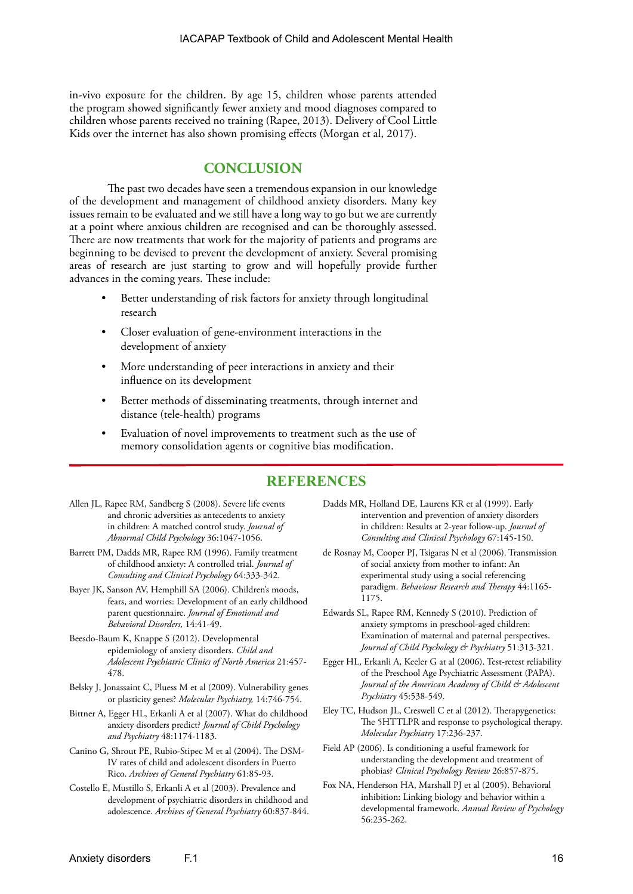in-vivo exposure for the children. By age 15, children whose parents attended the program showed significantly fewer anxiety and mood diagnoses compared to children whose parents received no training (Rapee, 2013). Delivery of Cool Little Kids over the internet has also shown promising effects (Morgan et al, 2017).

### **CONCLUSION**

The past two decades have seen a tremendous expansion in our knowledge of the development and management of childhood anxiety disorders. Many key issues remain to be evaluated and we still have a long way to go but we are currently at a point where anxious children are recognised and can be thoroughly assessed. There are now treatments that work for the majority of patients and programs are beginning to be devised to prevent the development of anxiety. Several promising areas of research are just starting to grow and will hopefully provide further advances in the coming years. These include:

- Better understanding of risk factors for anxiety through longitudinal research
- Closer evaluation of gene-environment interactions in the development of anxiety
- More understanding of peer interactions in anxiety and their influence on its development
- Better methods of disseminating treatments, through internet and distance (tele-health) programs
- Evaluation of novel improvements to treatment such as the use of memory consolidation agents or cognitive bias modification.

## **REFERENCES**

- Allen JL, Rapee RM, Sandberg S (2008). Severe life events and chronic adversities as antecedents to anxiety in children: A matched control study. *Journal of Abnormal Child Psychology* 36:1047-1056.
- Barrett PM, Dadds MR, Rapee RM (1996). Family treatment of childhood anxiety: A controlled trial. *Journal of Consulting and Clinical Psychology* 64:333-342.
- Bayer JK, Sanson AV, Hemphill SA (2006). Children's moods, fears, and worries: Development of an early childhood parent questionnaire. *Journal of Emotional and Behavioral Disorders,* 14:41-49.
- Beesdo-Baum K, Knappe S (2012). Developmental epidemiology of anxiety disorders. *Child and Adolescent Psychiatric Clinics of North America* 21:457- 478.
- Belsky J, Jonassaint C, Pluess M et al (2009). Vulnerability genes or plasticity genes? *Molecular Psychiatry,* 14:746-754.
- Bittner A, Egger HL, Erkanli A et al (2007). What do childhood anxiety disorders predict? *Journal of Child Psychology and Psychiatry* 48:1174-1183.
- Canino G, Shrout PE, Rubio-Stipec M et al (2004). The DSM-IV rates of child and adolescent disorders in Puerto Rico. *Archives of General Psychiatry* 61:85-93.
- Costello E, Mustillo S, Erkanli A et al (2003). Prevalence and development of psychiatric disorders in childhood and adolescence. *Archives of General Psychiatry* 60:837-844.
- Dadds MR, Holland DE, Laurens KR et al (1999). Early intervention and prevention of anxiety disorders in children: Results at 2-year follow-up. *Journal of Consulting and Clinical Psychology* 67:145-150.
- de Rosnay M, Cooper PJ, Tsigaras N et al (2006). Transmission of social anxiety from mother to infant: An experimental study using a social referencing paradigm. *Behaviour Research and Therapy* 44:1165- 1175.
- Edwards SL, Rapee RM, Kennedy S (2010). Prediction of anxiety symptoms in preschool-aged children: Examination of maternal and paternal perspectives. *Journal of Child Psychology & Psychiatry* 51:313-321.
- Egger HL, Erkanli A, Keeler G at al (2006). Test-retest reliability of the Preschool Age Psychiatric Assessment (PAPA). *Journal of the American Academy of Child & Adolescent Psychiatry* 45:538-549.
- Eley TC, Hudson JL, Creswell C et al (2012). Therapygenetics: The 5HTTLPR and response to psychological therapy. *Molecular Psychiatry* 17:236-237.
- Field AP (2006). Is conditioning a useful framework for understanding the development and treatment of phobias? *Clinical Psychology Review* 26:857-875.
- Fox NA, Henderson HA, Marshall PJ et al (2005). Behavioral inhibition: Linking biology and behavior within a developmental framework. *Annual Review of Psychology*  56:235-262.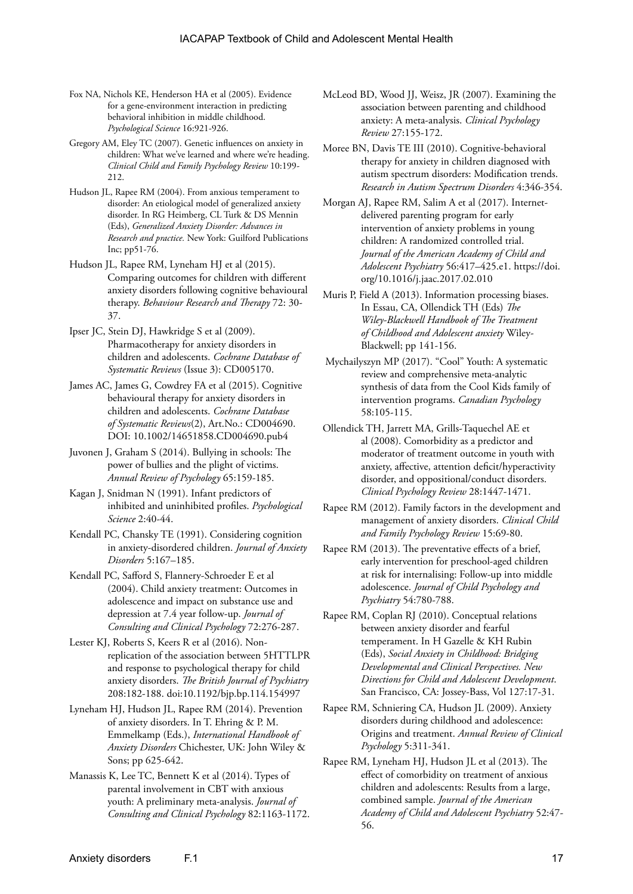- Fox NA, Nichols KE, Henderson HA et al (2005). Evidence for a gene-environment interaction in predicting behavioral inhibition in middle childhood. *Psychological Science* 16:921-926.
- Gregory AM, Eley TC (2007). Genetic influences on anxiety in children: What we've learned and where we're heading. *Clinical Child and Family Psychology Review* 10:199- 212.
- Hudson JL, Rapee RM (2004). From anxious temperament to disorder: An etiological model of generalized anxiety disorder. In RG Heimberg, CL Turk & DS Mennin (Eds), *Generalized Anxiety Disorder: Advances in Research and practice.* New York: Guilford Publications Inc; pp51-76.
- Hudson JL, Rapee RM, Lyneham HJ et al (2015). Comparing outcomes for children with different anxiety disorders following cognitive behavioural therapy. *Behaviour Research and Therapy* 72: 30- 37.
- Ipser JC, Stein DJ, Hawkridge S et al (2009). Pharmacotherapy for anxiety disorders in children and adolescents. *Cochrane Database of Systematic Reviews* (Issue 3): CD005170.
- James AC, James G, Cowdrey FA et al (2015). Cognitive behavioural therapy for anxiety disorders in children and adolescents. *Cochrane Database of Systematic Reviews*(2), Art.No.: CD004690. DOI: 10.1002/14651858.CD004690.pub4
- Juvonen J, Graham S (2014). Bullying in schools: The power of bullies and the plight of victims. *Annual Review of Psychology* 65:159-185.
- Kagan J, Snidman N (1991). Infant predictors of inhibited and uninhibited profiles. *Psychological Science* 2:40-44.
- Kendall PC, Chansky TE (1991). Considering cognition in anxiety-disordered children. *Journal of Anxiety Disorders* 5:167–185.
- Kendall PC, Safford S, Flannery-Schroeder E et al (2004). Child anxiety treatment: Outcomes in adolescence and impact on substance use and depression at 7.4 year follow-up. *Journal of Consulting and Clinical Psychology* 72:276-287.
- Lester KJ, Roberts S, Keers R et al (2016). Nonreplication of the association between 5HTTLPR and response to psychological therapy for child anxiety disorders. *The British Journal of Psychiatry* 208:182-188. doi:10.1192/bjp.bp.114.154997
- Lyneham HJ, Hudson JL, Rapee RM (2014). Prevention of anxiety disorders. In T. Ehring & P. M. Emmelkamp (Eds.), *International Handbook of Anxiety Disorders* Chichester, UK: John Wiley & Sons; pp 625-642.
- Manassis K, Lee TC, Bennett K et al (2014). Types of parental involvement in CBT with anxious youth: A preliminary meta-analysis. *Journal of Consulting and Clinical Psychology* 82:1163-1172.
- McLeod BD, Wood JJ, Weisz, JR (2007). Examining the association between parenting and childhood anxiety: A meta-analysis. *Clinical Psychology Review* 27:155-172.
- Moree BN, Davis TE III (2010). Cognitive-behavioral therapy for anxiety in children diagnosed with autism spectrum disorders: Modification trends. *Research in Autism Spectrum Disorders* 4:346-354.
- Morgan AJ, Rapee RM, Salim A et al (2017). Internetdelivered parenting program for early intervention of anxiety problems in young children: A randomized controlled trial. *Journal of the American Academy of Child and Adolescent Psychiatry* 56:417–425.e1. https://doi. org/10.1016/j.jaac.2017.02.010
- Muris P, Field A (2013). Information processing biases. In Essau, CA, Ollendick TH (Eds) *The Wiley-Blackwell Handbook of The Treatment of Childhood and Adolescent anxiety* Wiley-Blackwell; pp 141-156.
- Mychailyszyn MP (2017). "Cool" Youth: A systematic review and comprehensive meta-analytic synthesis of data from the Cool Kids family of intervention programs. *Canadian Psychology*  58:105-115.
- Ollendick TH, Jarrett MA, Grills-Taquechel AE et al (2008). Comorbidity as a predictor and moderator of treatment outcome in youth with anxiety, affective, attention deficit/hyperactivity disorder, and oppositional/conduct disorders. *Clinical Psychology Review* 28:1447-1471.
- Rapee RM (2012). Family factors in the development and management of anxiety disorders. *Clinical Child and Family Psychology Review* 15:69-80.
- Rapee RM (2013). The preventative effects of a brief, early intervention for preschool-aged children at risk for internalising: Follow-up into middle adolescence. *Journal of Child Psychology and Psychiatry* 54:780-788.
- Rapee RM, Coplan RJ (2010). Conceptual relations between anxiety disorder and fearful temperament. In H Gazelle & KH Rubin (Eds), *Social Anxiety in Childhood: Bridging Developmental and Clinical Perspectives. New Directions for Child and Adolescent Development*. San Francisco, CA: Jossey-Bass, Vol 127:17-31.
- Rapee RM, Schniering CA, Hudson JL (2009). Anxiety disorders during childhood and adolescence: Origins and treatment. *Annual Review of Clinical Psychology* 5:311-341.
- Rapee RM, Lyneham HJ, Hudson JL et al (2013). The effect of comorbidity on treatment of anxious children and adolescents: Results from a large, combined sample. *Journal of the American Academy of Child and Adolescent Psychiatry* 52:47- 56.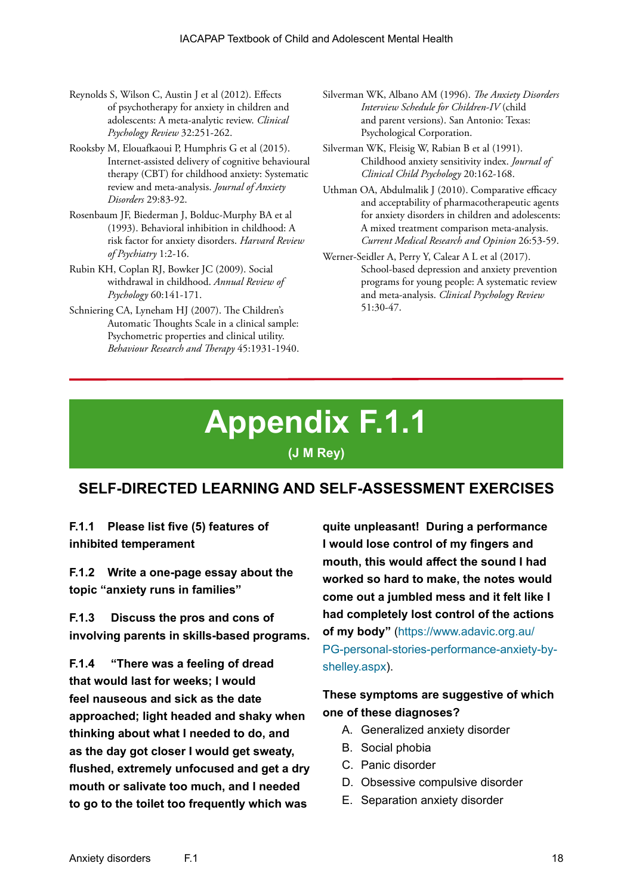- Reynolds S, Wilson C, Austin J et al (2012). Effects of psychotherapy for anxiety in children and adolescents: A meta-analytic review. *Clinical Psychology Review* 32:251-262.
- Rooksby M, Elouafkaoui P, Humphris G et al (2015). Internet-assisted delivery of cognitive behavioural therapy (CBT) for childhood anxiety: Systematic review and meta-analysis. *Journal of Anxiety Disorders* 29:83-92.
- Rosenbaum JF, Biederman J, Bolduc-Murphy BA et al (1993). Behavioral inhibition in childhood: A risk factor for anxiety disorders. *Harvard Review of Psychiatry* 1:2-16.
- Rubin KH, Coplan RJ, Bowker JC (2009). Social withdrawal in childhood. *Annual Review of Psychology* 60:141-171.
- Schniering CA, Lyneham HJ (2007). The Children's Automatic Thoughts Scale in a clinical sample: Psychometric properties and clinical utility. *Behaviour Research and Therapy* 45:1931-1940.

Silverman WK, Albano AM (1996). *The Anxiety Disorders Interview Schedule for Children-IV* (child and parent versions). San Antonio: Texas: Psychological Corporation.

- Silverman WK, Fleisig W, Rabian B et al (1991). Childhood anxiety sensitivity index. *Journal of Clinical Child Psychology* 20:162-168.
- Uthman OA, Abdulmalik J (2010). Comparative efficacy and acceptability of pharmacotherapeutic agents for anxiety disorders in children and adolescents: A mixed treatment comparison meta-analysis. *Current Medical Research and Opinion* 26:53-59.
- Werner-Seidler A, Perry Y, Calear A L et al (2017). School-based depression and anxiety prevention programs for young people: A systematic review and meta-analysis. *Clinical Psychology Review* 51:30-47.

# **Appendix F.1.1 (J M Rey)**

# **SELF-DIRECTED LEARNING AND SELF-ASSESSMENT EXERCISES**

**F.1.1 Please list five (5) features of inhibited temperament**

**F.1.2 Write a one-page essay about the topic "anxiety runs in families"**

**F.1.3 Discuss the pros and cons of involving parents in skills-based programs.**

**F.1.4 "There was a feeling of dread that would last for weeks; I would feel nauseous and sick as the date approached; light headed and shaky when thinking about what I needed to do, and as the day got closer I would get sweaty, flushed, extremely unfocused and get a dry mouth or salivate too much, and I needed to go to the toilet too frequently which was** 

**quite unpleasant! During a performance I would lose control of my fingers and mouth, this would affect the sound I had worked so hard to make, the notes would come out a jumbled mess and it felt like I had completely lost control of the actions of my body"** ([https://www.adavic.org.au/](https://www.adavic.org.au/PG-personal-stories-performance-anxiety-by-shelley.aspx) [PG-personal-stories-performance-anxiety-by](https://www.adavic.org.au/PG-personal-stories-performance-anxiety-by-shelley.aspx)[shelley.aspx](https://www.adavic.org.au/PG-personal-stories-performance-anxiety-by-shelley.aspx)).

## **These symptoms are suggestive of which one of these diagnoses?**

- A. Generalized anxiety disorder
- B. Social phobia
- C. Panic disorder
- D. Obsessive compulsive disorder
- E. Separation anxiety disorder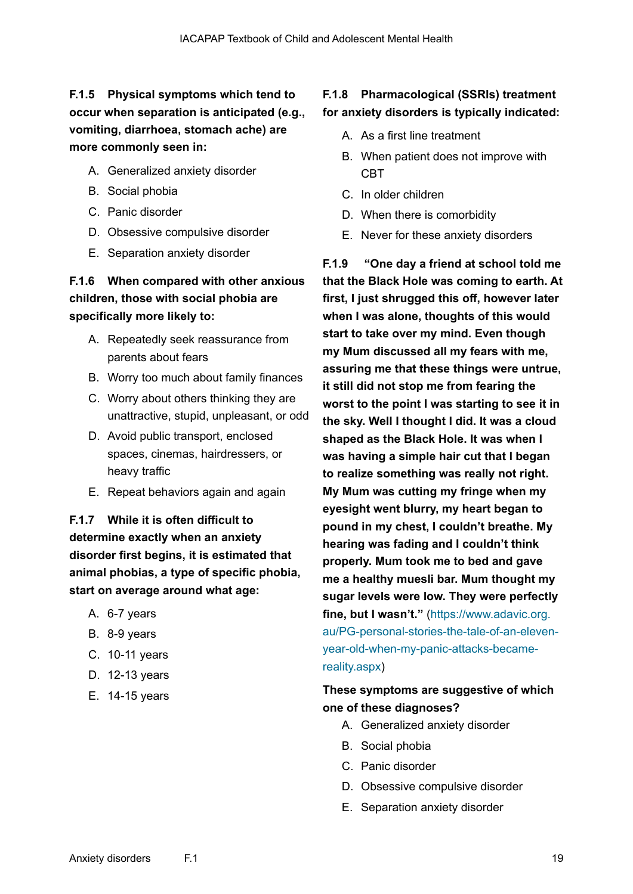# **F.1.5 Physical symptoms which tend to occur when separation is anticipated (e.g., vomiting, diarrhoea, stomach ache) are more commonly seen in:**

- A. Generalized anxiety disorder
- B. Social phobia
- C. Panic disorder
- D. Obsessive compulsive disorder
- E. Separation anxiety disorder

# **F.1.6 When compared with other anxious children, those with social phobia are specifically more likely to:**

- A. Repeatedly seek reassurance from parents about fears
- B. Worry too much about family finances
- C. Worry about others thinking they are unattractive, stupid, unpleasant, or odd
- D. Avoid public transport, enclosed spaces, cinemas, hairdressers, or heavy traffic
- E. Repeat behaviors again and again

# **F.1.7 While it is often difficult to determine exactly when an anxiety disorder first begins, it is estimated that animal phobias, a type of specific phobia, start on average around what age:**

- A. 6-7 years
- B. 8-9 years
- C. 10-11 years
- D. 12-13 years
- E. 14-15 years

# **F.1.8 Pharmacological (SSRIs) treatment for anxiety disorders is typically indicated:**

- A. As a first line treatment
- B. When patient does not improve with CBT
- C. In older children
- D. When there is comorbidity
- E. Never for these anxiety disorders

**F.1.9 "One day a friend at school told me that the Black Hole was coming to earth. At first, I just shrugged this off, however later when I was alone, thoughts of this would start to take over my mind. Even though my Mum discussed all my fears with me, assuring me that these things were untrue, it still did not stop me from fearing the worst to the point I was starting to see it in the sky. Well I thought I did. It was a cloud shaped as the Black Hole. It was when I was having a simple hair cut that I began to realize something was really not right. My Mum was cutting my fringe when my eyesight went blurry, my heart began to pound in my chest, I couldn't breathe. My hearing was fading and I couldn't think properly. Mum took me to bed and gave me a healthy muesli bar. Mum thought my sugar levels were low. They were perfectly fine, but I wasn't."** [\(https://www.adavic.org.](https://www.adavic.org.au/PG-personal-stories-the-tale-of-an-eleven-year-old-when-my-panic-attacks-became-reality.aspx) [au/PG-personal-stories-the-tale-of-an-eleven](https://www.adavic.org.au/PG-personal-stories-the-tale-of-an-eleven-year-old-when-my-panic-attacks-became-reality.aspx)[year-old-when-my-panic-attacks-became](https://www.adavic.org.au/PG-personal-stories-the-tale-of-an-eleven-year-old-when-my-panic-attacks-became-reality.aspx)[reality.aspx](https://www.adavic.org.au/PG-personal-stories-the-tale-of-an-eleven-year-old-when-my-panic-attacks-became-reality.aspx))

## **These symptoms are suggestive of which one of these diagnoses?**

- A. Generalized anxiety disorder
- B. Social phobia
- C. Panic disorder
- D. Obsessive compulsive disorder
- E. Separation anxiety disorder